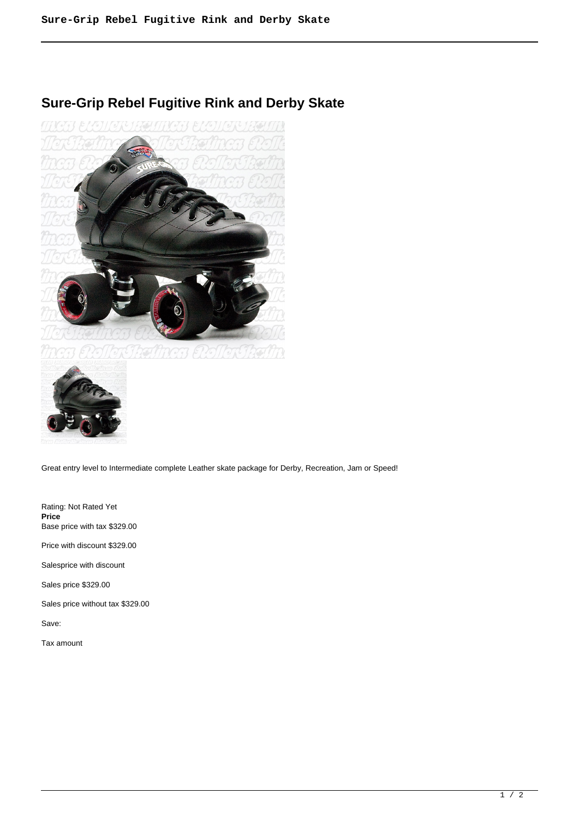## **Sure-Grip Rebel Fugitive Rink and Derby Skate**





Great entry level to Intermediate complete Leather skate package for Derby, Recreation, Jam or Speed!

Rating: Not Rated Yet **Price**  Base price with tax \$329.00

Price with discount \$329.00

Salesprice with discount

Sales price \$329.00

Sales price without tax \$329.00

Save:

Tax amount